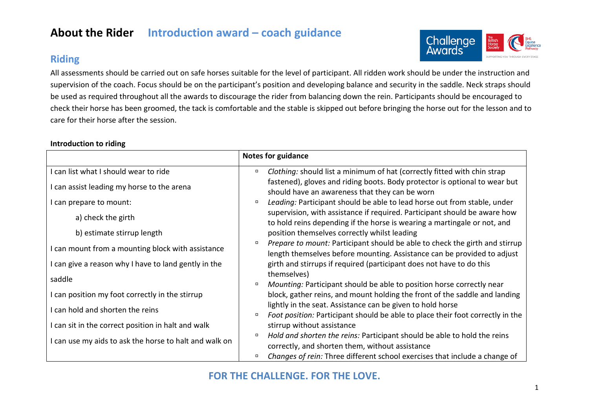## **About the Rider Introduction award – coach guidance**

## **Riding**



All assessments should be carried out on safe horses suitable for the level of participant. All ridden work should be under the instruction and supervision of the coach. Focus should be on the participant's position and developing balance and security in the saddle. Neck straps should be used as required throughout all the awards to discourage the rider from balancing down the rein. Participants should be encouraged to check their horse has been groomed, the tack is comfortable and the stable is skipped out before bringing the horse out for the lesson and to care for their horse after the session.

#### **Introduction to riding**

|                                                        | <b>Notes for guidance</b>                                                                                                                                        |
|--------------------------------------------------------|------------------------------------------------------------------------------------------------------------------------------------------------------------------|
| I can list what I should wear to ride                  | Clothing: should list a minimum of hat (correctly fitted with chin strap<br>$\Box$                                                                               |
| I can assist leading my horse to the arena             | fastened), gloves and riding boots. Body protector is optional to wear but<br>should have an awareness that they can be worn                                     |
| I can prepare to mount:                                | Leading: Participant should be able to lead horse out from stable, under<br>$\Box$                                                                               |
| a) check the girth                                     | supervision, with assistance if required. Participant should be aware how<br>to hold reins depending if the horse is wearing a martingale or not, and            |
| b) estimate stirrup length                             | position themselves correctly whilst leading                                                                                                                     |
| I can mount from a mounting block with assistance      | Prepare to mount: Participant should be able to check the girth and stirrup<br>$\Box$<br>length themselves before mounting. Assistance can be provided to adjust |
| I can give a reason why I have to land gently in the   | girth and stirrups if required (participant does not have to do this                                                                                             |
| saddle                                                 | themselves)<br>Mounting: Participant should be able to position horse correctly near<br>$\Box$                                                                   |
| I can position my foot correctly in the stirrup        | block, gather reins, and mount holding the front of the saddle and landing                                                                                       |
| I can hold and shorten the reins                       | lightly in the seat. Assistance can be given to hold horse<br>Foot position: Participant should be able to place their foot correctly in the<br>$\Box$           |
| I can sit in the correct position in halt and walk     | stirrup without assistance                                                                                                                                       |
| I can use my aids to ask the horse to halt and walk on | Hold and shorten the reins: Participant should be able to hold the reins<br>$\Box$<br>correctly, and shorten them, without assistance                            |
|                                                        | Changes of rein: Three different school exercises that include a change of                                                                                       |

### **FOR THE CHALLENGE. FOR THE LOVE.**